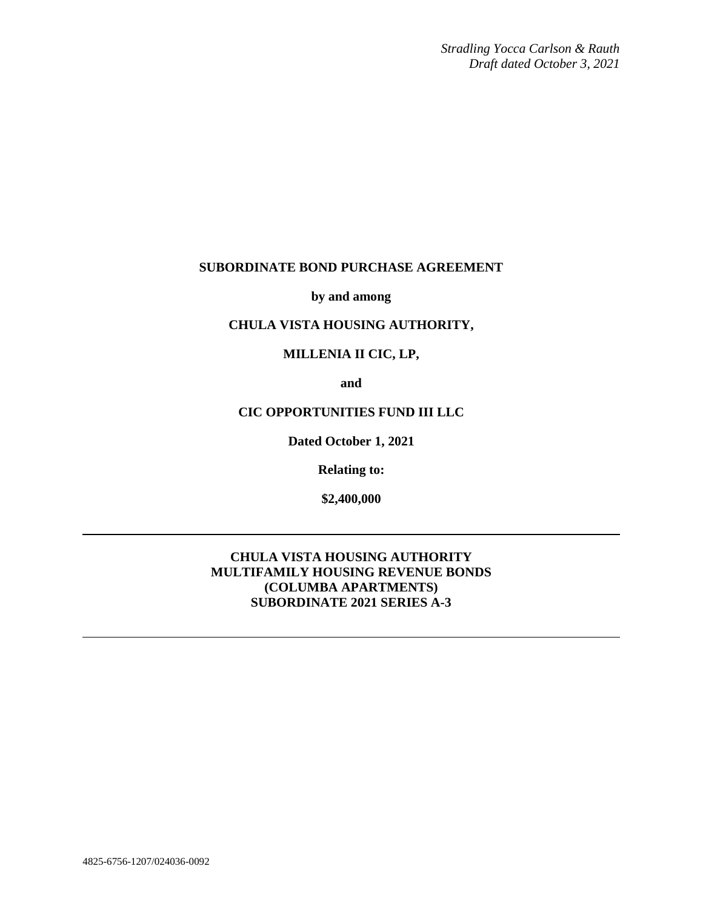*Stradling Yocca Carlson & Rauth Draft dated October 3, 2021*

## **SUBORDINATE BOND PURCHASE AGREEMENT**

**by and among**

# **CHULA VISTA HOUSING AUTHORITY,**

# **MILLENIA II CIC, LP,**

**and**

## **CIC OPPORTUNITIES FUND III LLC**

**Dated October 1, 2021**

**Relating to:**

**\$2,400,000**

## **CHULA VISTA HOUSING AUTHORITY MULTIFAMILY HOUSING REVENUE BONDS (COLUMBA APARTMENTS) SUBORDINATE 2021 SERIES A-3**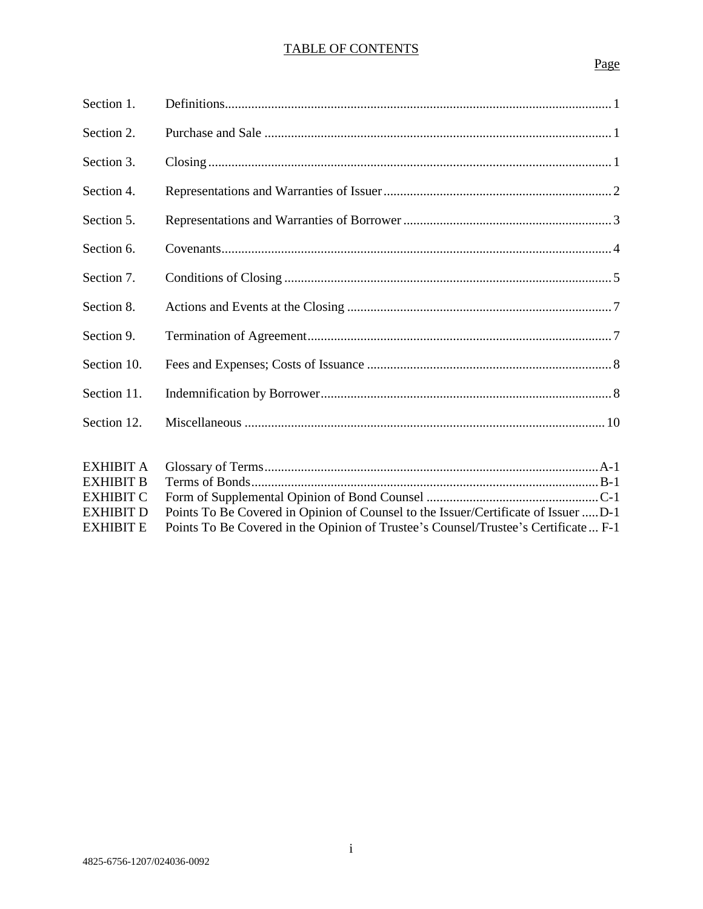## TABLE OF CONTENTS

# Page

| Section 1.       |                                                                                    |
|------------------|------------------------------------------------------------------------------------|
| Section 2.       |                                                                                    |
| Section 3.       |                                                                                    |
| Section 4.       |                                                                                    |
| Section 5.       |                                                                                    |
| Section 6.       |                                                                                    |
| Section 7.       |                                                                                    |
| Section 8.       |                                                                                    |
| Section 9.       |                                                                                    |
| Section 10.      |                                                                                    |
| Section 11.      |                                                                                    |
| Section 12.      |                                                                                    |
|                  |                                                                                    |
| <b>EXHIBIT A</b> |                                                                                    |
| <b>EXHIBIT B</b> |                                                                                    |
| <b>EXHIBIT C</b> |                                                                                    |
| <b>EXHIBIT D</b> | Points To Be Covered in Opinion of Counsel to the Issuer/Certificate of Issuer D-1 |
| <b>EXHIBIT E</b> | Points To Be Covered in the Opinion of Trustee's Counsel/Trustee's Certificate F-1 |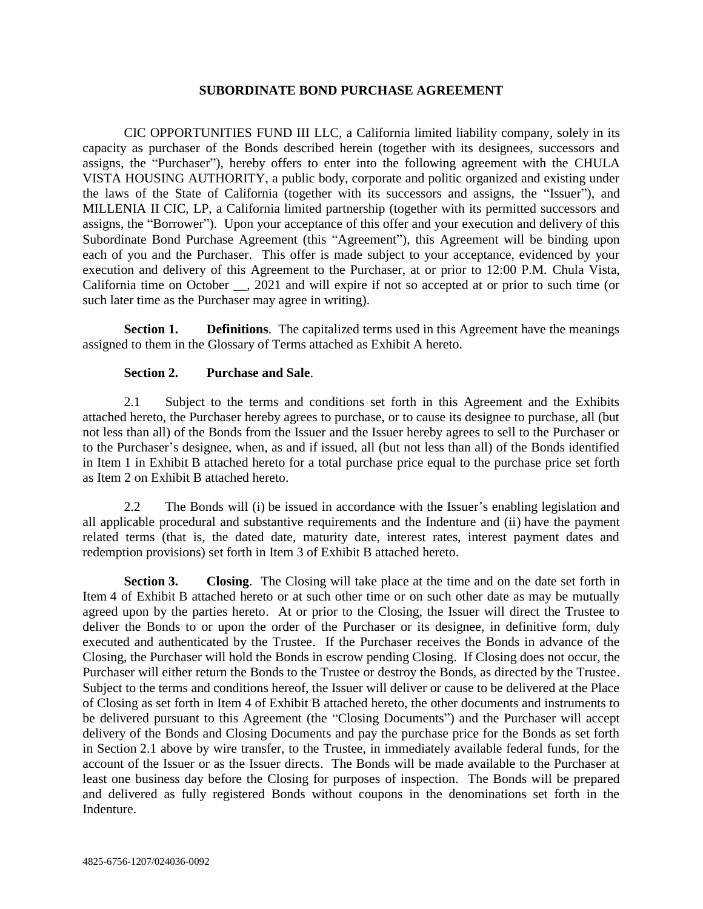### **SUBORDINATE BOND PURCHASE AGREEMENT**

CIC OPPORTUNITIES FUND III LLC, a California limited liability company, solely in its capacity as purchaser of the Bonds described herein (together with its designees, successors and assigns, the "Purchaser"), hereby offers to enter into the following agreement with the CHULA VISTA HOUSING AUTHORITY, a public body, corporate and politic organized and existing under the laws of the State of California (together with its successors and assigns, the "Issuer"), and MILLENIA II CIC, LP, a California limited partnership (together with its permitted successors and assigns, the "Borrower"). Upon your acceptance of this offer and your execution and delivery of this Subordinate Bond Purchase Agreement (this "Agreement"), this Agreement will be binding upon each of you and the Purchaser. This offer is made subject to your acceptance, evidenced by your execution and delivery of this Agreement to the Purchaser, at or prior to 12:00 P.M. Chula Vista, California time on October \_\_, 2021 and will expire if not so accepted at or prior to such time (or such later time as the Purchaser may agree in writing).

**Section 1. Definitions**. The capitalized terms used in this Agreement have the meanings assigned to them in the Glossary of Terms attached as Exhibit A hereto.

### **Section 2. Purchase and Sale**.

2.1 Subject to the terms and conditions set forth in this Agreement and the Exhibits attached hereto, the Purchaser hereby agrees to purchase, or to cause its designee to purchase, all (but not less than all) of the Bonds from the Issuer and the Issuer hereby agrees to sell to the Purchaser or to the Purchaser's designee, when, as and if issued, all (but not less than all) of the Bonds identified in Item 1 in Exhibit B attached hereto for a total purchase price equal to the purchase price set forth as Item 2 on Exhibit B attached hereto.

2.2 The Bonds will (i) be issued in accordance with the Issuer's enabling legislation and all applicable procedural and substantive requirements and the Indenture and (ii) have the payment related terms (that is, the dated date, maturity date, interest rates, interest payment dates and redemption provisions) set forth in Item 3 of Exhibit B attached hereto.

**Section 3. Closing**. The Closing will take place at the time and on the date set forth in Item 4 of Exhibit B attached hereto or at such other time or on such other date as may be mutually agreed upon by the parties hereto. At or prior to the Closing, the Issuer will direct the Trustee to deliver the Bonds to or upon the order of the Purchaser or its designee, in definitive form, duly executed and authenticated by the Trustee. If the Purchaser receives the Bonds in advance of the Closing, the Purchaser will hold the Bonds in escrow pending Closing. If Closing does not occur, the Purchaser will either return the Bonds to the Trustee or destroy the Bonds, as directed by the Trustee. Subject to the terms and conditions hereof, the Issuer will deliver or cause to be delivered at the Place of Closing as set forth in Item 4 of Exhibit B attached hereto, the other documents and instruments to be delivered pursuant to this Agreement (the "Closing Documents") and the Purchaser will accept delivery of the Bonds and Closing Documents and pay the purchase price for the Bonds as set forth in Section 2.1 above by wire transfer, to the Trustee, in immediately available federal funds, for the account of the Issuer or as the Issuer directs. The Bonds will be made available to the Purchaser at least one business day before the Closing for purposes of inspection. The Bonds will be prepared and delivered as fully registered Bonds without coupons in the denominations set forth in the Indenture.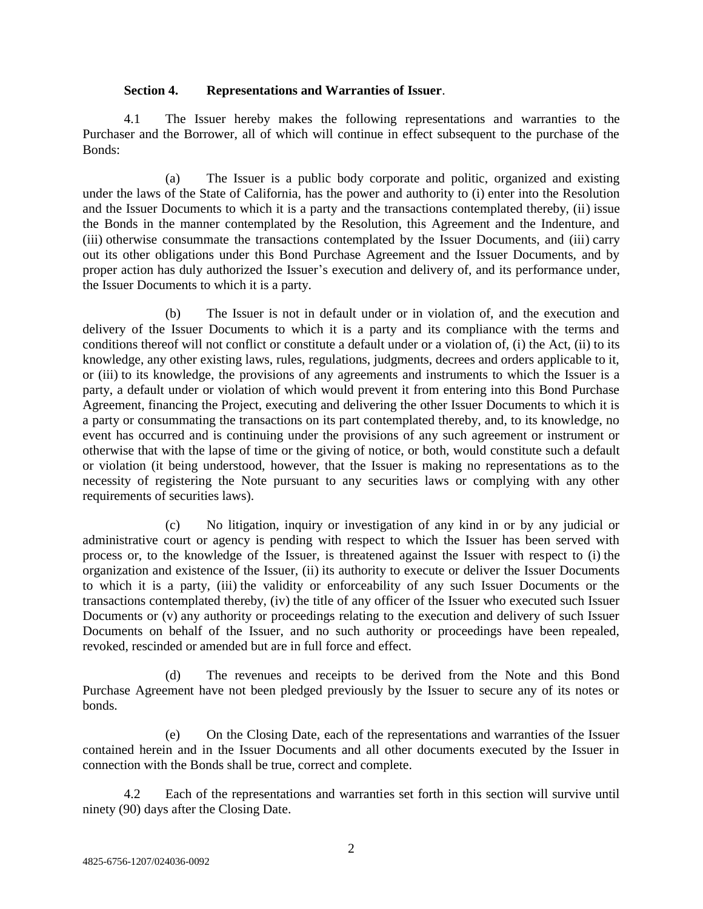### **Section 4. Representations and Warranties of Issuer**.

4.1 The Issuer hereby makes the following representations and warranties to the Purchaser and the Borrower, all of which will continue in effect subsequent to the purchase of the Bonds:

(a) The Issuer is a public body corporate and politic, organized and existing under the laws of the State of California, has the power and authority to (i) enter into the Resolution and the Issuer Documents to which it is a party and the transactions contemplated thereby, (ii) issue the Bonds in the manner contemplated by the Resolution, this Agreement and the Indenture, and (iii) otherwise consummate the transactions contemplated by the Issuer Documents, and (iii) carry out its other obligations under this Bond Purchase Agreement and the Issuer Documents, and by proper action has duly authorized the Issuer's execution and delivery of, and its performance under, the Issuer Documents to which it is a party.

(b) The Issuer is not in default under or in violation of, and the execution and delivery of the Issuer Documents to which it is a party and its compliance with the terms and conditions thereof will not conflict or constitute a default under or a violation of, (i) the Act, (ii) to its knowledge, any other existing laws, rules, regulations, judgments, decrees and orders applicable to it, or (iii) to its knowledge, the provisions of any agreements and instruments to which the Issuer is a party, a default under or violation of which would prevent it from entering into this Bond Purchase Agreement, financing the Project, executing and delivering the other Issuer Documents to which it is a party or consummating the transactions on its part contemplated thereby, and, to its knowledge, no event has occurred and is continuing under the provisions of any such agreement or instrument or otherwise that with the lapse of time or the giving of notice, or both, would constitute such a default or violation (it being understood, however, that the Issuer is making no representations as to the necessity of registering the Note pursuant to any securities laws or complying with any other requirements of securities laws).

(c) No litigation, inquiry or investigation of any kind in or by any judicial or administrative court or agency is pending with respect to which the Issuer has been served with process or, to the knowledge of the Issuer, is threatened against the Issuer with respect to (i) the organization and existence of the Issuer, (ii) its authority to execute or deliver the Issuer Documents to which it is a party, (iii) the validity or enforceability of any such Issuer Documents or the transactions contemplated thereby, (iv) the title of any officer of the Issuer who executed such Issuer Documents or (v) any authority or proceedings relating to the execution and delivery of such Issuer Documents on behalf of the Issuer, and no such authority or proceedings have been repealed, revoked, rescinded or amended but are in full force and effect.

(d) The revenues and receipts to be derived from the Note and this Bond Purchase Agreement have not been pledged previously by the Issuer to secure any of its notes or bonds.

(e) On the Closing Date, each of the representations and warranties of the Issuer contained herein and in the Issuer Documents and all other documents executed by the Issuer in connection with the Bonds shall be true, correct and complete.

4.2 Each of the representations and warranties set forth in this section will survive until ninety (90) days after the Closing Date.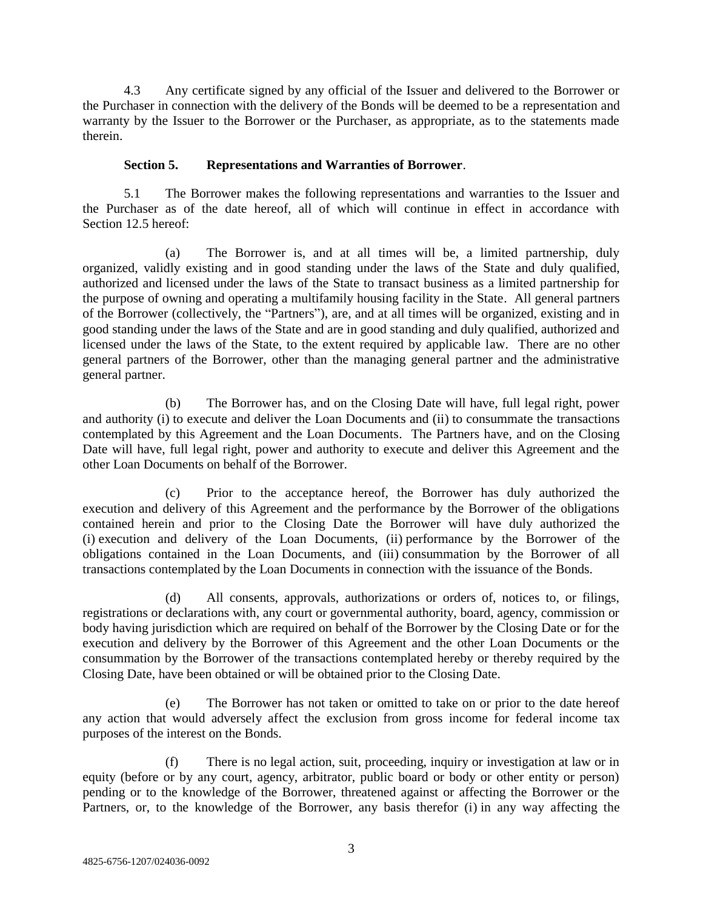4.3 Any certificate signed by any official of the Issuer and delivered to the Borrower or the Purchaser in connection with the delivery of the Bonds will be deemed to be a representation and warranty by the Issuer to the Borrower or the Purchaser, as appropriate, as to the statements made therein.

## **Section 5. Representations and Warranties of Borrower**.

5.1 The Borrower makes the following representations and warranties to the Issuer and the Purchaser as of the date hereof, all of which will continue in effect in accordance with Section 12.5 hereof:

(a) The Borrower is, and at all times will be, a limited partnership, duly organized, validly existing and in good standing under the laws of the State and duly qualified, authorized and licensed under the laws of the State to transact business as a limited partnership for the purpose of owning and operating a multifamily housing facility in the State. All general partners of the Borrower (collectively, the "Partners"), are, and at all times will be organized, existing and in good standing under the laws of the State and are in good standing and duly qualified, authorized and licensed under the laws of the State, to the extent required by applicable law. There are no other general partners of the Borrower, other than the managing general partner and the administrative general partner.

(b) The Borrower has, and on the Closing Date will have, full legal right, power and authority (i) to execute and deliver the Loan Documents and (ii) to consummate the transactions contemplated by this Agreement and the Loan Documents. The Partners have, and on the Closing Date will have, full legal right, power and authority to execute and deliver this Agreement and the other Loan Documents on behalf of the Borrower.

(c) Prior to the acceptance hereof, the Borrower has duly authorized the execution and delivery of this Agreement and the performance by the Borrower of the obligations contained herein and prior to the Closing Date the Borrower will have duly authorized the (i) execution and delivery of the Loan Documents, (ii) performance by the Borrower of the obligations contained in the Loan Documents, and (iii) consummation by the Borrower of all transactions contemplated by the Loan Documents in connection with the issuance of the Bonds.

(d) All consents, approvals, authorizations or orders of, notices to, or filings, registrations or declarations with, any court or governmental authority, board, agency, commission or body having jurisdiction which are required on behalf of the Borrower by the Closing Date or for the execution and delivery by the Borrower of this Agreement and the other Loan Documents or the consummation by the Borrower of the transactions contemplated hereby or thereby required by the Closing Date, have been obtained or will be obtained prior to the Closing Date.

(e) The Borrower has not taken or omitted to take on or prior to the date hereof any action that would adversely affect the exclusion from gross income for federal income tax purposes of the interest on the Bonds.

(f) There is no legal action, suit, proceeding, inquiry or investigation at law or in equity (before or by any court, agency, arbitrator, public board or body or other entity or person) pending or to the knowledge of the Borrower, threatened against or affecting the Borrower or the Partners, or, to the knowledge of the Borrower, any basis therefor (i) in any way affecting the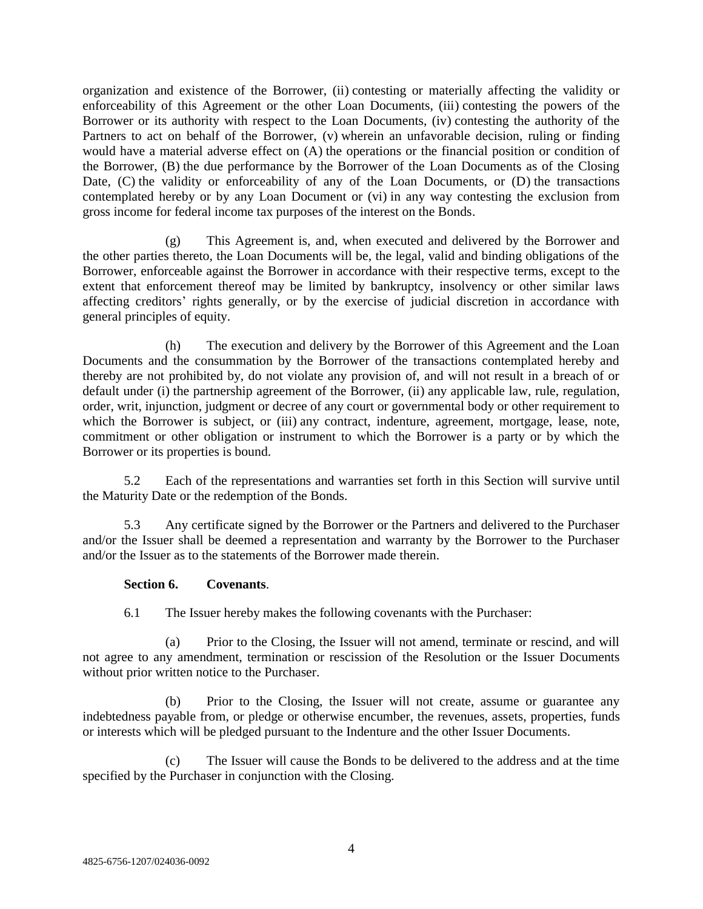organization and existence of the Borrower, (ii) contesting or materially affecting the validity or enforceability of this Agreement or the other Loan Documents, (iii) contesting the powers of the Borrower or its authority with respect to the Loan Documents, (iv) contesting the authority of the Partners to act on behalf of the Borrower, (v) wherein an unfavorable decision, ruling or finding would have a material adverse effect on (A) the operations or the financial position or condition of the Borrower, (B) the due performance by the Borrower of the Loan Documents as of the Closing Date, (C) the validity or enforceability of any of the Loan Documents, or (D) the transactions contemplated hereby or by any Loan Document or (vi) in any way contesting the exclusion from gross income for federal income tax purposes of the interest on the Bonds.

(g) This Agreement is, and, when executed and delivered by the Borrower and the other parties thereto, the Loan Documents will be, the legal, valid and binding obligations of the Borrower, enforceable against the Borrower in accordance with their respective terms, except to the extent that enforcement thereof may be limited by bankruptcy, insolvency or other similar laws affecting creditors' rights generally, or by the exercise of judicial discretion in accordance with general principles of equity.

(h) The execution and delivery by the Borrower of this Agreement and the Loan Documents and the consummation by the Borrower of the transactions contemplated hereby and thereby are not prohibited by, do not violate any provision of, and will not result in a breach of or default under (i) the partnership agreement of the Borrower, (ii) any applicable law, rule, regulation, order, writ, injunction, judgment or decree of any court or governmental body or other requirement to which the Borrower is subject, or (iii) any contract, indenture, agreement, mortgage, lease, note, commitment or other obligation or instrument to which the Borrower is a party or by which the Borrower or its properties is bound.

5.2 Each of the representations and warranties set forth in this Section will survive until the Maturity Date or the redemption of the Bonds.

5.3 Any certificate signed by the Borrower or the Partners and delivered to the Purchaser and/or the Issuer shall be deemed a representation and warranty by the Borrower to the Purchaser and/or the Issuer as to the statements of the Borrower made therein.

### **Section 6. Covenants**.

6.1 The Issuer hereby makes the following covenants with the Purchaser:

(a) Prior to the Closing, the Issuer will not amend, terminate or rescind, and will not agree to any amendment, termination or rescission of the Resolution or the Issuer Documents without prior written notice to the Purchaser.

(b) Prior to the Closing, the Issuer will not create, assume or guarantee any indebtedness payable from, or pledge or otherwise encumber, the revenues, assets, properties, funds or interests which will be pledged pursuant to the Indenture and the other Issuer Documents.

(c) The Issuer will cause the Bonds to be delivered to the address and at the time specified by the Purchaser in conjunction with the Closing.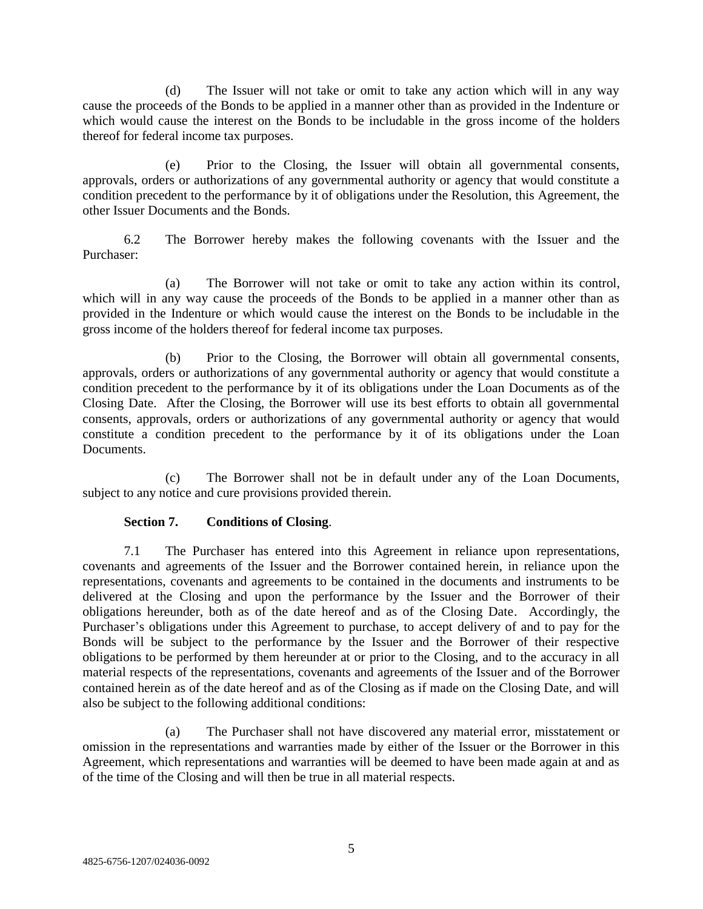(d) The Issuer will not take or omit to take any action which will in any way cause the proceeds of the Bonds to be applied in a manner other than as provided in the Indenture or which would cause the interest on the Bonds to be includable in the gross income of the holders thereof for federal income tax purposes.

(e) Prior to the Closing, the Issuer will obtain all governmental consents, approvals, orders or authorizations of any governmental authority or agency that would constitute a condition precedent to the performance by it of obligations under the Resolution, this Agreement, the other Issuer Documents and the Bonds.

6.2 The Borrower hereby makes the following covenants with the Issuer and the Purchaser:

(a) The Borrower will not take or omit to take any action within its control, which will in any way cause the proceeds of the Bonds to be applied in a manner other than as provided in the Indenture or which would cause the interest on the Bonds to be includable in the gross income of the holders thereof for federal income tax purposes.

(b) Prior to the Closing, the Borrower will obtain all governmental consents, approvals, orders or authorizations of any governmental authority or agency that would constitute a condition precedent to the performance by it of its obligations under the Loan Documents as of the Closing Date. After the Closing, the Borrower will use its best efforts to obtain all governmental consents, approvals, orders or authorizations of any governmental authority or agency that would constitute a condition precedent to the performance by it of its obligations under the Loan Documents.

(c) The Borrower shall not be in default under any of the Loan Documents, subject to any notice and cure provisions provided therein.

## **Section 7. Conditions of Closing**.

7.1 The Purchaser has entered into this Agreement in reliance upon representations, covenants and agreements of the Issuer and the Borrower contained herein, in reliance upon the representations, covenants and agreements to be contained in the documents and instruments to be delivered at the Closing and upon the performance by the Issuer and the Borrower of their obligations hereunder, both as of the date hereof and as of the Closing Date. Accordingly, the Purchaser's obligations under this Agreement to purchase, to accept delivery of and to pay for the Bonds will be subject to the performance by the Issuer and the Borrower of their respective obligations to be performed by them hereunder at or prior to the Closing, and to the accuracy in all material respects of the representations, covenants and agreements of the Issuer and of the Borrower contained herein as of the date hereof and as of the Closing as if made on the Closing Date, and will also be subject to the following additional conditions:

(a) The Purchaser shall not have discovered any material error, misstatement or omission in the representations and warranties made by either of the Issuer or the Borrower in this Agreement, which representations and warranties will be deemed to have been made again at and as of the time of the Closing and will then be true in all material respects.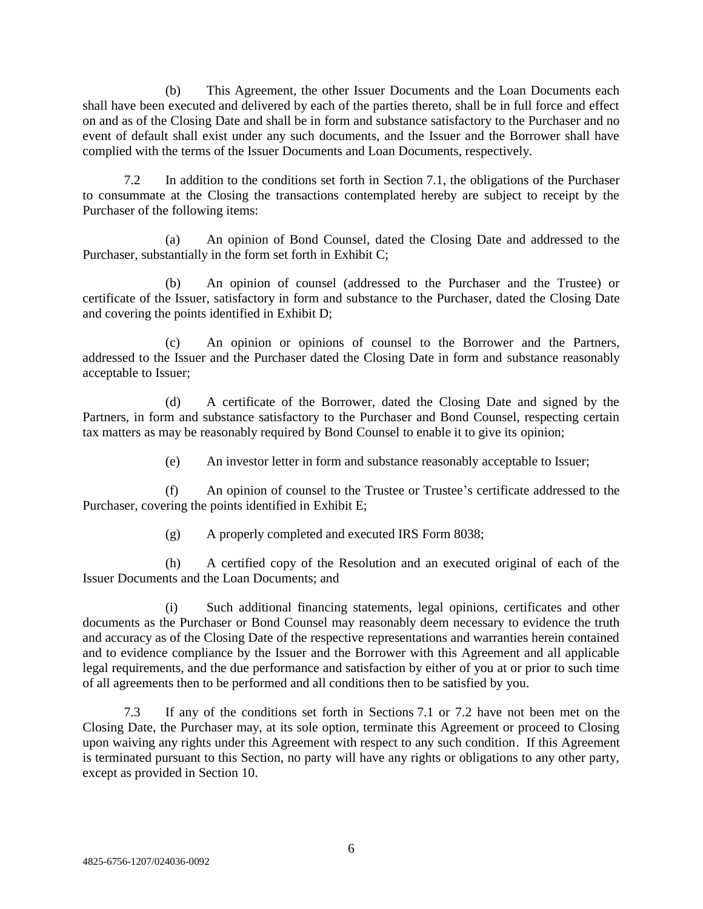(b) This Agreement, the other Issuer Documents and the Loan Documents each shall have been executed and delivered by each of the parties thereto, shall be in full force and effect on and as of the Closing Date and shall be in form and substance satisfactory to the Purchaser and no event of default shall exist under any such documents, and the Issuer and the Borrower shall have complied with the terms of the Issuer Documents and Loan Documents, respectively.

7.2 In addition to the conditions set forth in Section 7.1, the obligations of the Purchaser to consummate at the Closing the transactions contemplated hereby are subject to receipt by the Purchaser of the following items:

(a) An opinion of Bond Counsel, dated the Closing Date and addressed to the Purchaser, substantially in the form set forth in Exhibit C;

(b) An opinion of counsel (addressed to the Purchaser and the Trustee) or certificate of the Issuer, satisfactory in form and substance to the Purchaser, dated the Closing Date and covering the points identified in Exhibit D;

(c) An opinion or opinions of counsel to the Borrower and the Partners, addressed to the Issuer and the Purchaser dated the Closing Date in form and substance reasonably acceptable to Issuer;

(d) A certificate of the Borrower, dated the Closing Date and signed by the Partners, in form and substance satisfactory to the Purchaser and Bond Counsel, respecting certain tax matters as may be reasonably required by Bond Counsel to enable it to give its opinion;

(e) An investor letter in form and substance reasonably acceptable to Issuer;

(f) An opinion of counsel to the Trustee or Trustee's certificate addressed to the Purchaser, covering the points identified in Exhibit E;

(g) A properly completed and executed IRS Form 8038;

(h) A certified copy of the Resolution and an executed original of each of the Issuer Documents and the Loan Documents; and

(i) Such additional financing statements, legal opinions, certificates and other documents as the Purchaser or Bond Counsel may reasonably deem necessary to evidence the truth and accuracy as of the Closing Date of the respective representations and warranties herein contained and to evidence compliance by the Issuer and the Borrower with this Agreement and all applicable legal requirements, and the due performance and satisfaction by either of you at or prior to such time of all agreements then to be performed and all conditions then to be satisfied by you.

7.3 If any of the conditions set forth in Sections 7.1 or 7.2 have not been met on the Closing Date, the Purchaser may, at its sole option, terminate this Agreement or proceed to Closing upon waiving any rights under this Agreement with respect to any such condition. If this Agreement is terminated pursuant to this Section, no party will have any rights or obligations to any other party, except as provided in Section 10.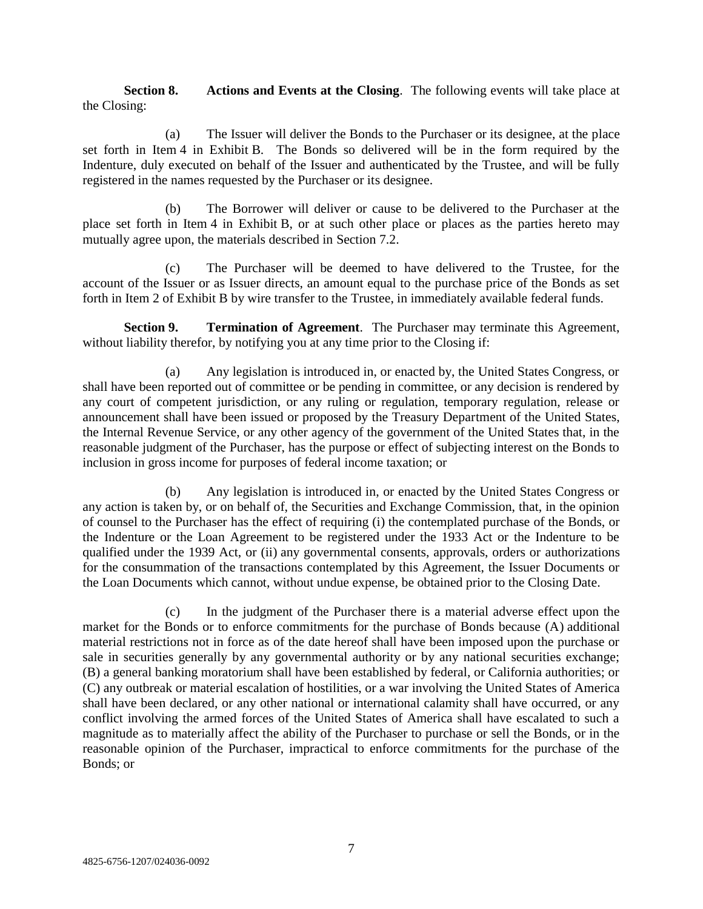**Section 8. Actions and Events at the Closing**. The following events will take place at the Closing:

(a) The Issuer will deliver the Bonds to the Purchaser or its designee, at the place set forth in Item 4 in Exhibit B. The Bonds so delivered will be in the form required by the Indenture, duly executed on behalf of the Issuer and authenticated by the Trustee, and will be fully registered in the names requested by the Purchaser or its designee.

(b) The Borrower will deliver or cause to be delivered to the Purchaser at the place set forth in Item 4 in Exhibit B, or at such other place or places as the parties hereto may mutually agree upon, the materials described in Section 7.2.

(c) The Purchaser will be deemed to have delivered to the Trustee, for the account of the Issuer or as Issuer directs, an amount equal to the purchase price of the Bonds as set forth in Item 2 of Exhibit B by wire transfer to the Trustee, in immediately available federal funds.

**Section 9. Termination of Agreement**. The Purchaser may terminate this Agreement, without liability therefor, by notifying you at any time prior to the Closing if:

(a) Any legislation is introduced in, or enacted by, the United States Congress, or shall have been reported out of committee or be pending in committee, or any decision is rendered by any court of competent jurisdiction, or any ruling or regulation, temporary regulation, release or announcement shall have been issued or proposed by the Treasury Department of the United States, the Internal Revenue Service, or any other agency of the government of the United States that, in the reasonable judgment of the Purchaser, has the purpose or effect of subjecting interest on the Bonds to inclusion in gross income for purposes of federal income taxation; or

(b) Any legislation is introduced in, or enacted by the United States Congress or any action is taken by, or on behalf of, the Securities and Exchange Commission, that, in the opinion of counsel to the Purchaser has the effect of requiring (i) the contemplated purchase of the Bonds, or the Indenture or the Loan Agreement to be registered under the 1933 Act or the Indenture to be qualified under the 1939 Act, or (ii) any governmental consents, approvals, orders or authorizations for the consummation of the transactions contemplated by this Agreement, the Issuer Documents or the Loan Documents which cannot, without undue expense, be obtained prior to the Closing Date.

(c) In the judgment of the Purchaser there is a material adverse effect upon the market for the Bonds or to enforce commitments for the purchase of Bonds because (A) additional material restrictions not in force as of the date hereof shall have been imposed upon the purchase or sale in securities generally by any governmental authority or by any national securities exchange; (B) a general banking moratorium shall have been established by federal, or California authorities; or (C) any outbreak or material escalation of hostilities, or a war involving the United States of America shall have been declared, or any other national or international calamity shall have occurred, or any conflict involving the armed forces of the United States of America shall have escalated to such a magnitude as to materially affect the ability of the Purchaser to purchase or sell the Bonds, or in the reasonable opinion of the Purchaser, impractical to enforce commitments for the purchase of the Bonds; or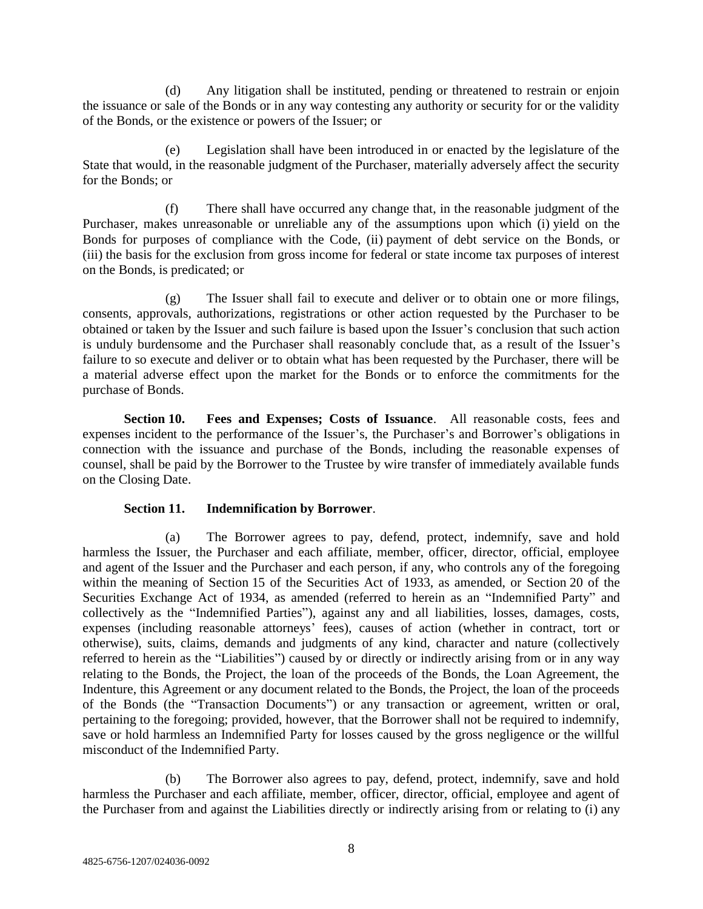(d) Any litigation shall be instituted, pending or threatened to restrain or enjoin the issuance or sale of the Bonds or in any way contesting any authority or security for or the validity of the Bonds, or the existence or powers of the Issuer; or

(e) Legislation shall have been introduced in or enacted by the legislature of the State that would, in the reasonable judgment of the Purchaser, materially adversely affect the security for the Bonds; or

(f) There shall have occurred any change that, in the reasonable judgment of the Purchaser, makes unreasonable or unreliable any of the assumptions upon which (i) yield on the Bonds for purposes of compliance with the Code, (ii) payment of debt service on the Bonds, or (iii) the basis for the exclusion from gross income for federal or state income tax purposes of interest on the Bonds, is predicated; or

(g) The Issuer shall fail to execute and deliver or to obtain one or more filings, consents, approvals, authorizations, registrations or other action requested by the Purchaser to be obtained or taken by the Issuer and such failure is based upon the Issuer's conclusion that such action is unduly burdensome and the Purchaser shall reasonably conclude that, as a result of the Issuer's failure to so execute and deliver or to obtain what has been requested by the Purchaser, there will be a material adverse effect upon the market for the Bonds or to enforce the commitments for the purchase of Bonds.

**Section 10. Fees and Expenses; Costs of Issuance**. All reasonable costs, fees and expenses incident to the performance of the Issuer's, the Purchaser's and Borrower's obligations in connection with the issuance and purchase of the Bonds, including the reasonable expenses of counsel, shall be paid by the Borrower to the Trustee by wire transfer of immediately available funds on the Closing Date.

## **Section 11. Indemnification by Borrower**.

(a) The Borrower agrees to pay, defend, protect, indemnify, save and hold harmless the Issuer, the Purchaser and each affiliate, member, officer, director, official, employee and agent of the Issuer and the Purchaser and each person, if any, who controls any of the foregoing within the meaning of Section 15 of the Securities Act of 1933, as amended, or Section 20 of the Securities Exchange Act of 1934, as amended (referred to herein as an "Indemnified Party" and collectively as the "Indemnified Parties"), against any and all liabilities, losses, damages, costs, expenses (including reasonable attorneys' fees), causes of action (whether in contract, tort or otherwise), suits, claims, demands and judgments of any kind, character and nature (collectively referred to herein as the "Liabilities") caused by or directly or indirectly arising from or in any way relating to the Bonds, the Project, the loan of the proceeds of the Bonds, the Loan Agreement, the Indenture, this Agreement or any document related to the Bonds, the Project, the loan of the proceeds of the Bonds (the "Transaction Documents") or any transaction or agreement, written or oral, pertaining to the foregoing; provided, however, that the Borrower shall not be required to indemnify, save or hold harmless an Indemnified Party for losses caused by the gross negligence or the willful misconduct of the Indemnified Party.

(b) The Borrower also agrees to pay, defend, protect, indemnify, save and hold harmless the Purchaser and each affiliate, member, officer, director, official, employee and agent of the Purchaser from and against the Liabilities directly or indirectly arising from or relating to (i) any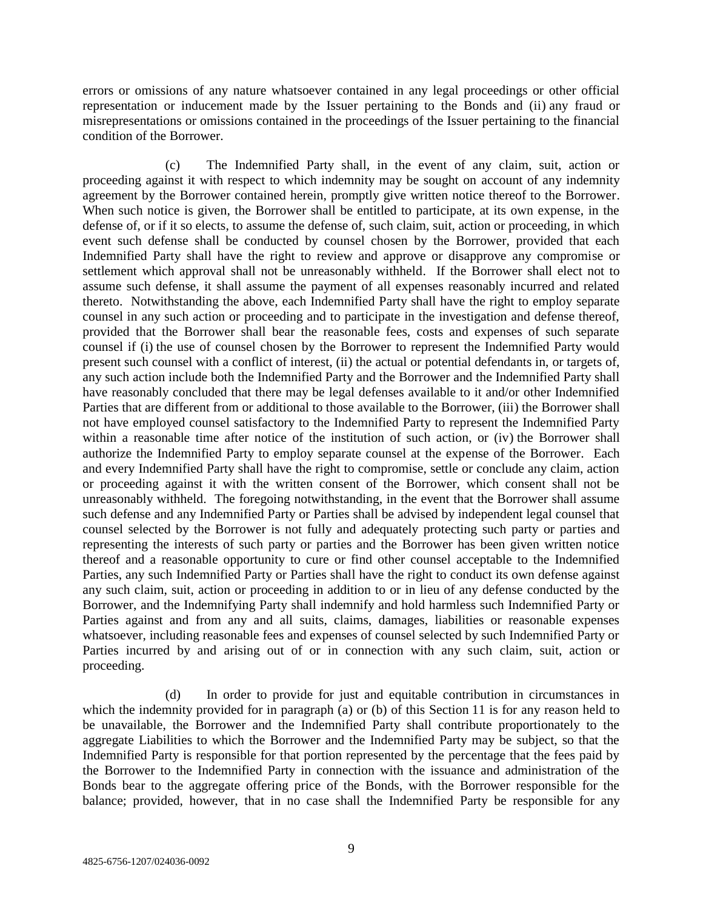errors or omissions of any nature whatsoever contained in any legal proceedings or other official representation or inducement made by the Issuer pertaining to the Bonds and (ii) any fraud or misrepresentations or omissions contained in the proceedings of the Issuer pertaining to the financial condition of the Borrower.

(c) The Indemnified Party shall, in the event of any claim, suit, action or proceeding against it with respect to which indemnity may be sought on account of any indemnity agreement by the Borrower contained herein, promptly give written notice thereof to the Borrower. When such notice is given, the Borrower shall be entitled to participate, at its own expense, in the defense of, or if it so elects, to assume the defense of, such claim, suit, action or proceeding, in which event such defense shall be conducted by counsel chosen by the Borrower, provided that each Indemnified Party shall have the right to review and approve or disapprove any compromise or settlement which approval shall not be unreasonably withheld. If the Borrower shall elect not to assume such defense, it shall assume the payment of all expenses reasonably incurred and related thereto. Notwithstanding the above, each Indemnified Party shall have the right to employ separate counsel in any such action or proceeding and to participate in the investigation and defense thereof, provided that the Borrower shall bear the reasonable fees, costs and expenses of such separate counsel if (i) the use of counsel chosen by the Borrower to represent the Indemnified Party would present such counsel with a conflict of interest, (ii) the actual or potential defendants in, or targets of, any such action include both the Indemnified Party and the Borrower and the Indemnified Party shall have reasonably concluded that there may be legal defenses available to it and/or other Indemnified Parties that are different from or additional to those available to the Borrower, (iii) the Borrower shall not have employed counsel satisfactory to the Indemnified Party to represent the Indemnified Party within a reasonable time after notice of the institution of such action, or (iv) the Borrower shall authorize the Indemnified Party to employ separate counsel at the expense of the Borrower. Each and every Indemnified Party shall have the right to compromise, settle or conclude any claim, action or proceeding against it with the written consent of the Borrower, which consent shall not be unreasonably withheld. The foregoing notwithstanding, in the event that the Borrower shall assume such defense and any Indemnified Party or Parties shall be advised by independent legal counsel that counsel selected by the Borrower is not fully and adequately protecting such party or parties and representing the interests of such party or parties and the Borrower has been given written notice thereof and a reasonable opportunity to cure or find other counsel acceptable to the Indemnified Parties, any such Indemnified Party or Parties shall have the right to conduct its own defense against any such claim, suit, action or proceeding in addition to or in lieu of any defense conducted by the Borrower, and the Indemnifying Party shall indemnify and hold harmless such Indemnified Party or Parties against and from any and all suits, claims, damages, liabilities or reasonable expenses whatsoever, including reasonable fees and expenses of counsel selected by such Indemnified Party or Parties incurred by and arising out of or in connection with any such claim, suit, action or proceeding.

(d) In order to provide for just and equitable contribution in circumstances in which the indemnity provided for in paragraph (a) or (b) of this Section 11 is for any reason held to be unavailable, the Borrower and the Indemnified Party shall contribute proportionately to the aggregate Liabilities to which the Borrower and the Indemnified Party may be subject, so that the Indemnified Party is responsible for that portion represented by the percentage that the fees paid by the Borrower to the Indemnified Party in connection with the issuance and administration of the Bonds bear to the aggregate offering price of the Bonds, with the Borrower responsible for the balance; provided, however, that in no case shall the Indemnified Party be responsible for any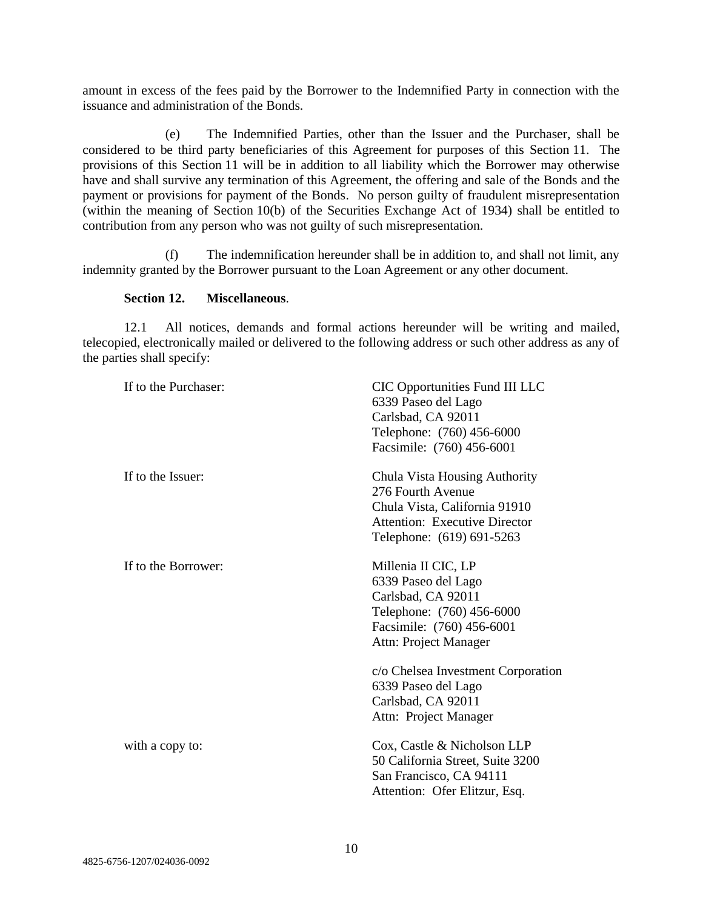amount in excess of the fees paid by the Borrower to the Indemnified Party in connection with the issuance and administration of the Bonds.

(e) The Indemnified Parties, other than the Issuer and the Purchaser, shall be considered to be third party beneficiaries of this Agreement for purposes of this Section 11. The provisions of this Section 11 will be in addition to all liability which the Borrower may otherwise have and shall survive any termination of this Agreement, the offering and sale of the Bonds and the payment or provisions for payment of the Bonds. No person guilty of fraudulent misrepresentation (within the meaning of Section 10(b) of the Securities Exchange Act of 1934) shall be entitled to contribution from any person who was not guilty of such misrepresentation.

(f) The indemnification hereunder shall be in addition to, and shall not limit, any indemnity granted by the Borrower pursuant to the Loan Agreement or any other document.

## **Section 12. Miscellaneous**.

12.1 All notices, demands and formal actions hereunder will be writing and mailed, telecopied, electronically mailed or delivered to the following address or such other address as any of the parties shall specify:

| If to the Purchaser: | <b>CIC Opportunities Fund III LLC</b><br>6339 Paseo del Lago<br>Carlsbad, CA 92011<br>Telephone: (760) 456-6000<br>Facsimile: (760) 456-6001             |
|----------------------|----------------------------------------------------------------------------------------------------------------------------------------------------------|
| If to the Issuer:    | Chula Vista Housing Authority<br>276 Fourth Avenue<br>Chula Vista, California 91910<br><b>Attention: Executive Director</b><br>Telephone: (619) 691-5263 |
| If to the Borrower:  | Millenia II CIC, LP<br>6339 Paseo del Lago<br>Carlsbad, CA 92011<br>Telephone: (760) 456-6000<br>Facsimile: (760) 456-6001<br>Attn: Project Manager      |
|                      | c/o Chelsea Investment Corporation<br>6339 Paseo del Lago<br>Carlsbad, CA 92011<br>Attn: Project Manager                                                 |
| with a copy to:      | Cox, Castle & Nicholson LLP<br>50 California Street, Suite 3200<br>San Francisco, CA 94111<br>Attention: Ofer Elitzur, Esq.                              |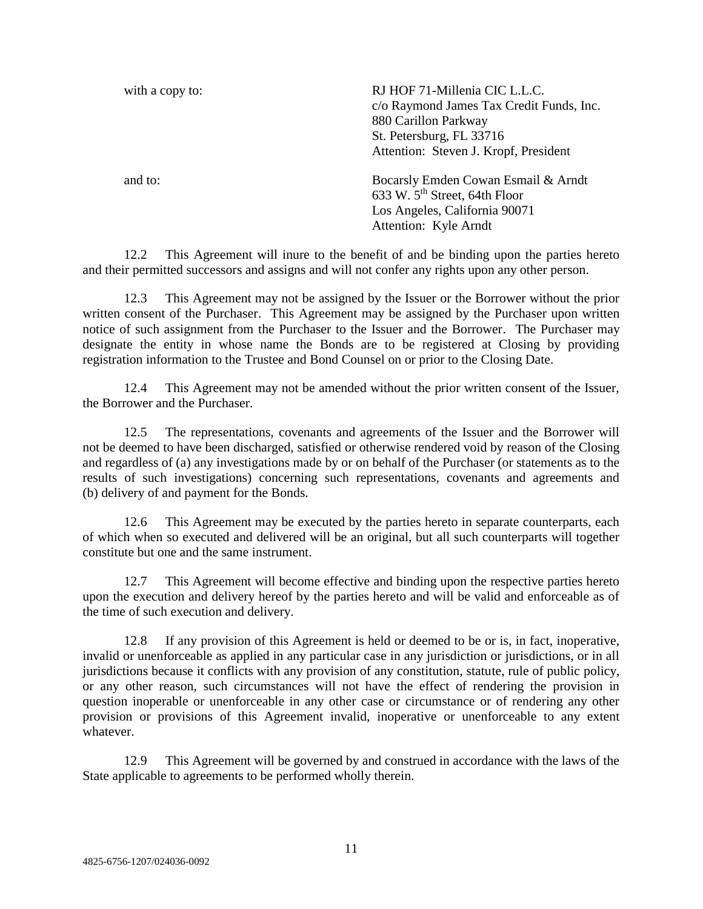| with a copy to: | RJ HOF 71-Millenia CIC L.L.C.<br>c/o Raymond James Tax Credit Funds, Inc.<br>880 Carillon Parkway<br>St. Petersburg, FL 33716<br>Attention: Steven J. Kropf, President |
|-----------------|------------------------------------------------------------------------------------------------------------------------------------------------------------------------|
| and to:         | Bocarsly Emden Cowan Esmail & Arndt<br>633 W. 5 <sup>th</sup> Street, 64th Floor<br>Los Angeles, California 90071<br>Attention: Kyle Arndt                             |

12.2 This Agreement will inure to the benefit of and be binding upon the parties hereto and their permitted successors and assigns and will not confer any rights upon any other person.

12.3 This Agreement may not be assigned by the Issuer or the Borrower without the prior written consent of the Purchaser. This Agreement may be assigned by the Purchaser upon written notice of such assignment from the Purchaser to the Issuer and the Borrower. The Purchaser may designate the entity in whose name the Bonds are to be registered at Closing by providing registration information to the Trustee and Bond Counsel on or prior to the Closing Date.

12.4 This Agreement may not be amended without the prior written consent of the Issuer, the Borrower and the Purchaser.

12.5 The representations, covenants and agreements of the Issuer and the Borrower will not be deemed to have been discharged, satisfied or otherwise rendered void by reason of the Closing and regardless of (a) any investigations made by or on behalf of the Purchaser (or statements as to the results of such investigations) concerning such representations, covenants and agreements and (b) delivery of and payment for the Bonds.

12.6 This Agreement may be executed by the parties hereto in separate counterparts, each of which when so executed and delivered will be an original, but all such counterparts will together constitute but one and the same instrument.

12.7 This Agreement will become effective and binding upon the respective parties hereto upon the execution and delivery hereof by the parties hereto and will be valid and enforceable as of the time of such execution and delivery.

12.8 If any provision of this Agreement is held or deemed to be or is, in fact, inoperative, invalid or unenforceable as applied in any particular case in any jurisdiction or jurisdictions, or in all jurisdictions because it conflicts with any provision of any constitution, statute, rule of public policy, or any other reason, such circumstances will not have the effect of rendering the provision in question inoperable or unenforceable in any other case or circumstance or of rendering any other provision or provisions of this Agreement invalid, inoperative or unenforceable to any extent whatever.

12.9 This Agreement will be governed by and construed in accordance with the laws of the State applicable to agreements to be performed wholly therein.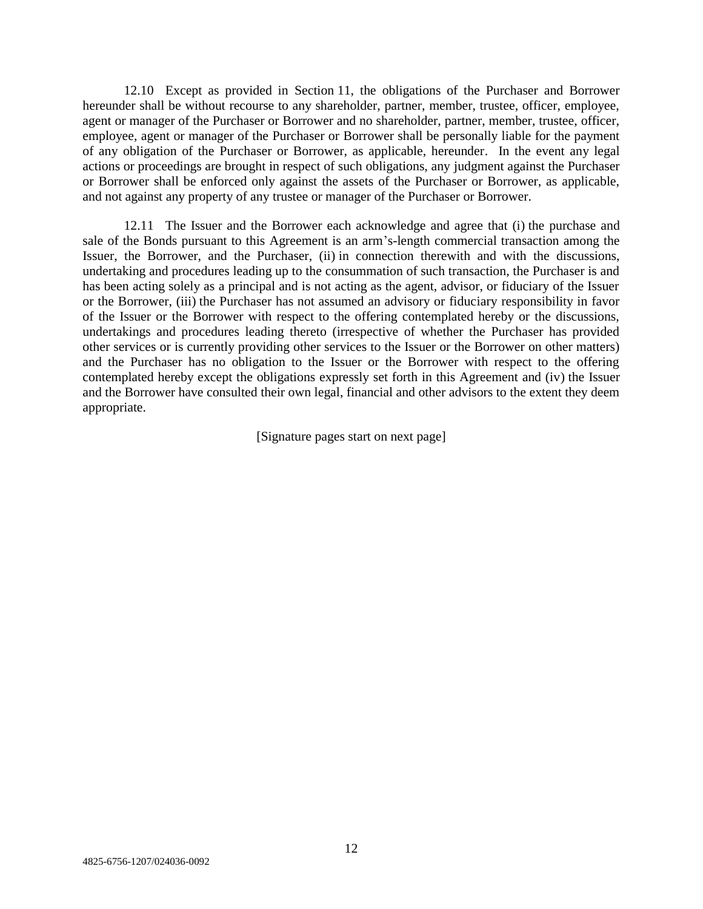12.10 Except as provided in Section 11, the obligations of the Purchaser and Borrower hereunder shall be without recourse to any shareholder, partner, member, trustee, officer, employee, agent or manager of the Purchaser or Borrower and no shareholder, partner, member, trustee, officer, employee, agent or manager of the Purchaser or Borrower shall be personally liable for the payment of any obligation of the Purchaser or Borrower, as applicable, hereunder. In the event any legal actions or proceedings are brought in respect of such obligations, any judgment against the Purchaser or Borrower shall be enforced only against the assets of the Purchaser or Borrower, as applicable, and not against any property of any trustee or manager of the Purchaser or Borrower.

12.11 The Issuer and the Borrower each acknowledge and agree that (i) the purchase and sale of the Bonds pursuant to this Agreement is an arm's-length commercial transaction among the Issuer, the Borrower, and the Purchaser, (ii) in connection therewith and with the discussions, undertaking and procedures leading up to the consummation of such transaction, the Purchaser is and has been acting solely as a principal and is not acting as the agent, advisor, or fiduciary of the Issuer or the Borrower, (iii) the Purchaser has not assumed an advisory or fiduciary responsibility in favor of the Issuer or the Borrower with respect to the offering contemplated hereby or the discussions, undertakings and procedures leading thereto (irrespective of whether the Purchaser has provided other services or is currently providing other services to the Issuer or the Borrower on other matters) and the Purchaser has no obligation to the Issuer or the Borrower with respect to the offering contemplated hereby except the obligations expressly set forth in this Agreement and (iv) the Issuer and the Borrower have consulted their own legal, financial and other advisors to the extent they deem appropriate.

[Signature pages start on next page]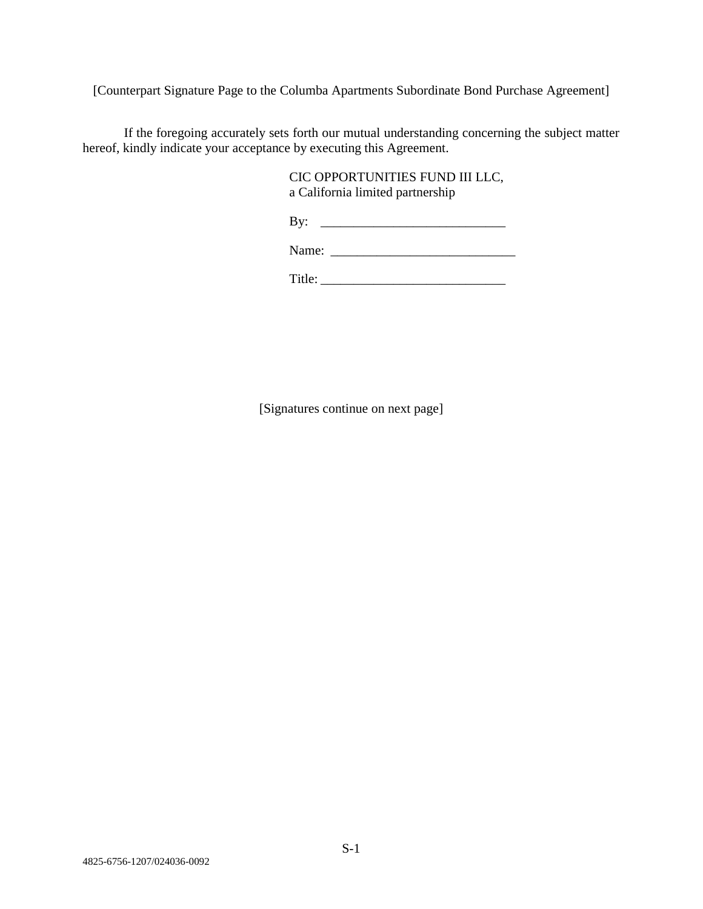[Counterpart Signature Page to the Columba Apartments Subordinate Bond Purchase Agreement]

If the foregoing accurately sets forth our mutual understanding concerning the subject matter hereof, kindly indicate your acceptance by executing this Agreement.

> CIC OPPORTUNITIES FUND III LLC, a California limited partnership

> By: \_\_\_\_\_\_\_\_\_\_\_\_\_\_\_\_\_\_\_\_\_\_\_\_\_\_\_\_

Name: \_\_\_\_\_\_\_\_\_\_\_\_\_\_\_\_\_\_\_\_\_\_\_\_\_\_\_\_

Title: \_\_\_\_\_\_\_\_\_\_\_\_\_\_\_\_\_\_\_\_\_\_\_\_\_\_\_\_

[Signatures continue on next page]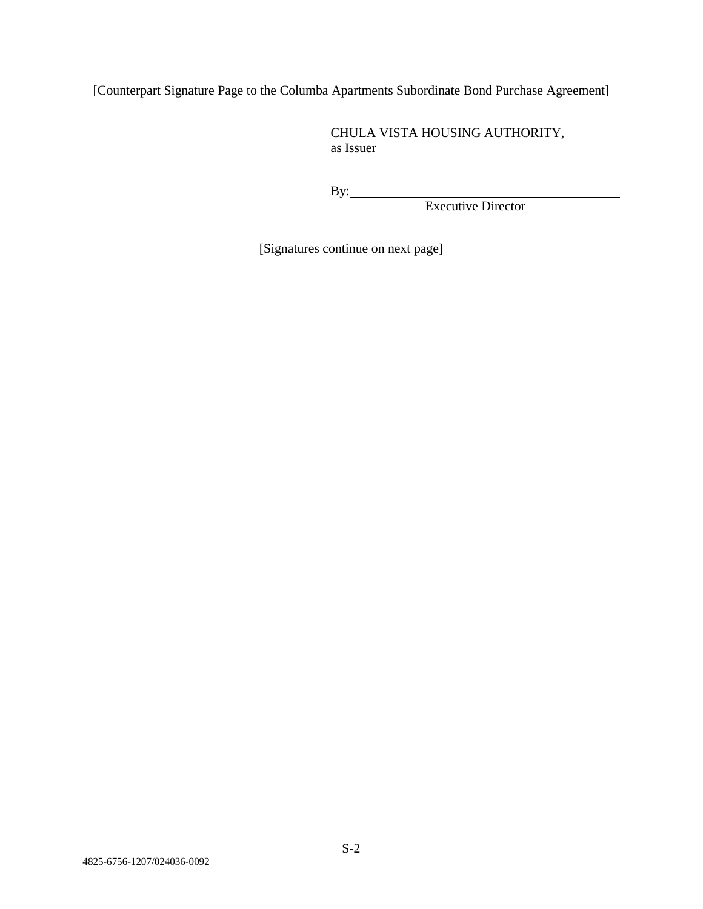[Counterpart Signature Page to the Columba Apartments Subordinate Bond Purchase Agreement]

CHULA VISTA HOUSING AUTHORITY, as Issuer

By:

Executive Director

[Signatures continue on next page]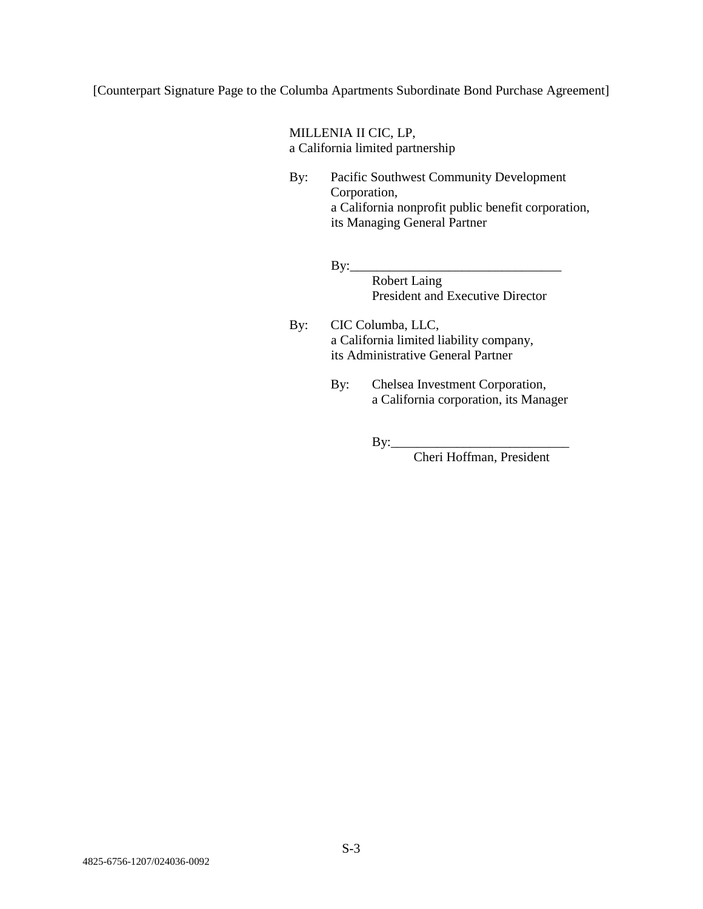[Counterpart Signature Page to the Columba Apartments Subordinate Bond Purchase Agreement]

MILLENIA II CIC, LP, a California limited partnership

- By: Pacific Southwest Community Development Corporation, a California nonprofit public benefit corporation, its Managing General Partner
	- $By:$ Robert Laing President and Executive Director
- By: CIC Columba, LLC, a California limited liability company, its Administrative General Partner
	- By: Chelsea Investment Corporation, a California corporation, its Manager

 $\mathbf{By:}$ 

Cheri Hoffman, President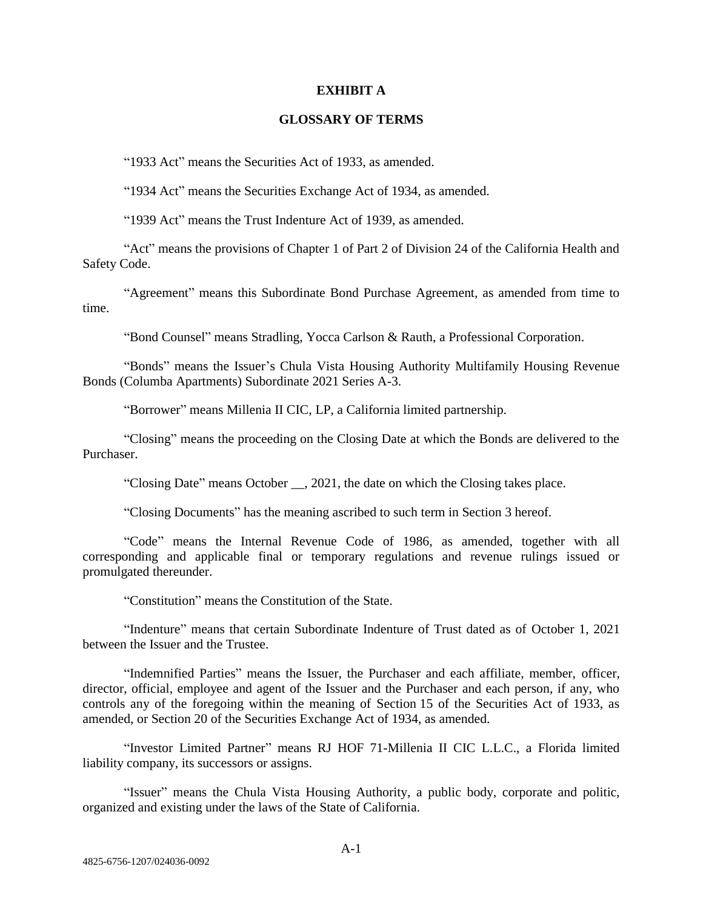#### **EXHIBIT A**

### **GLOSSARY OF TERMS**

"1933 Act" means the Securities Act of 1933, as amended.

"1934 Act" means the Securities Exchange Act of 1934, as amended.

"1939 Act" means the Trust Indenture Act of 1939, as amended.

"Act" means the provisions of Chapter 1 of Part 2 of Division 24 of the California Health and Safety Code.

"Agreement" means this Subordinate Bond Purchase Agreement, as amended from time to time.

"Bond Counsel" means Stradling, Yocca Carlson & Rauth, a Professional Corporation.

"Bonds" means the Issuer's Chula Vista Housing Authority Multifamily Housing Revenue Bonds (Columba Apartments) Subordinate 2021 Series A-3.

"Borrower" means Millenia II CIC, LP, a California limited partnership.

"Closing" means the proceeding on the Closing Date at which the Bonds are delivered to the Purchaser.

"Closing Date" means October \_\_, 2021, the date on which the Closing takes place.

"Closing Documents" has the meaning ascribed to such term in Section 3 hereof.

"Code" means the Internal Revenue Code of 1986, as amended, together with all corresponding and applicable final or temporary regulations and revenue rulings issued or promulgated thereunder.

"Constitution" means the Constitution of the State.

"Indenture" means that certain Subordinate Indenture of Trust dated as of October 1, 2021 between the Issuer and the Trustee.

"Indemnified Parties" means the Issuer, the Purchaser and each affiliate, member, officer, director, official, employee and agent of the Issuer and the Purchaser and each person, if any, who controls any of the foregoing within the meaning of Section 15 of the Securities Act of 1933, as amended, or Section 20 of the Securities Exchange Act of 1934, as amended.

"Investor Limited Partner" means RJ HOF 71-Millenia II CIC L.L.C., a Florida limited liability company, its successors or assigns.

"Issuer" means the Chula Vista Housing Authority, a public body, corporate and politic, organized and existing under the laws of the State of California.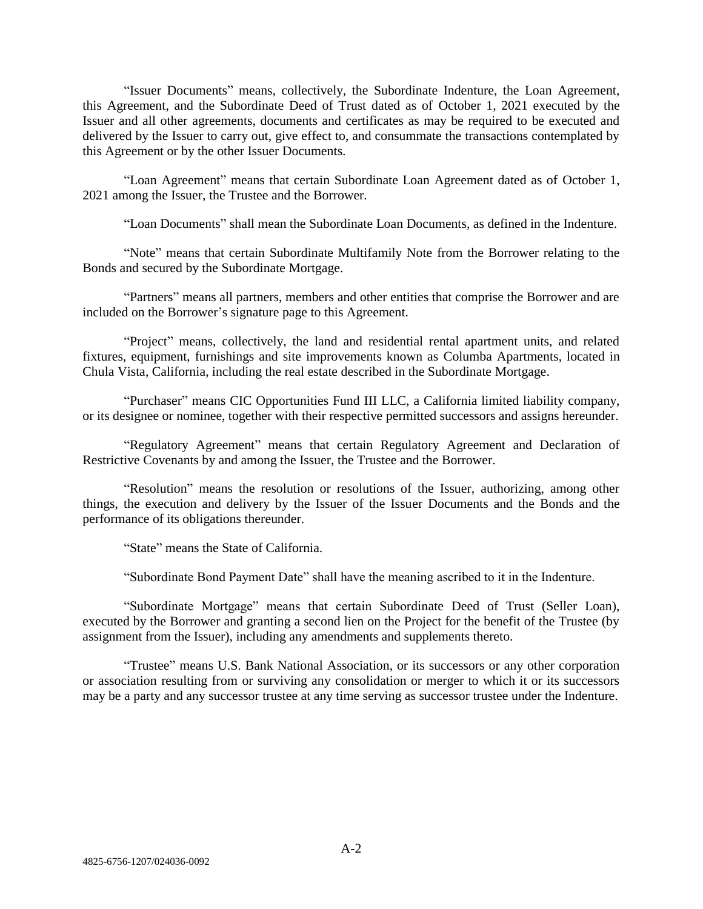"Issuer Documents" means, collectively, the Subordinate Indenture, the Loan Agreement, this Agreement, and the Subordinate Deed of Trust dated as of October 1, 2021 executed by the Issuer and all other agreements, documents and certificates as may be required to be executed and delivered by the Issuer to carry out, give effect to, and consummate the transactions contemplated by this Agreement or by the other Issuer Documents.

"Loan Agreement" means that certain Subordinate Loan Agreement dated as of October 1, 2021 among the Issuer, the Trustee and the Borrower.

"Loan Documents" shall mean the Subordinate Loan Documents, as defined in the Indenture.

"Note" means that certain Subordinate Multifamily Note from the Borrower relating to the Bonds and secured by the Subordinate Mortgage.

"Partners" means all partners, members and other entities that comprise the Borrower and are included on the Borrower's signature page to this Agreement.

"Project" means, collectively, the land and residential rental apartment units, and related fixtures, equipment, furnishings and site improvements known as Columba Apartments, located in Chula Vista, California, including the real estate described in the Subordinate Mortgage.

"Purchaser" means CIC Opportunities Fund III LLC, a California limited liability company, or its designee or nominee, together with their respective permitted successors and assigns hereunder.

"Regulatory Agreement" means that certain Regulatory Agreement and Declaration of Restrictive Covenants by and among the Issuer, the Trustee and the Borrower.

"Resolution" means the resolution or resolutions of the Issuer, authorizing, among other things, the execution and delivery by the Issuer of the Issuer Documents and the Bonds and the performance of its obligations thereunder.

"State" means the State of California.

"Subordinate Bond Payment Date" shall have the meaning ascribed to it in the Indenture.

"Subordinate Mortgage" means that certain Subordinate Deed of Trust (Seller Loan), executed by the Borrower and granting a second lien on the Project for the benefit of the Trustee (by assignment from the Issuer), including any amendments and supplements thereto.

"Trustee" means U.S. Bank National Association, or its successors or any other corporation or association resulting from or surviving any consolidation or merger to which it or its successors may be a party and any successor trustee at any time serving as successor trustee under the Indenture.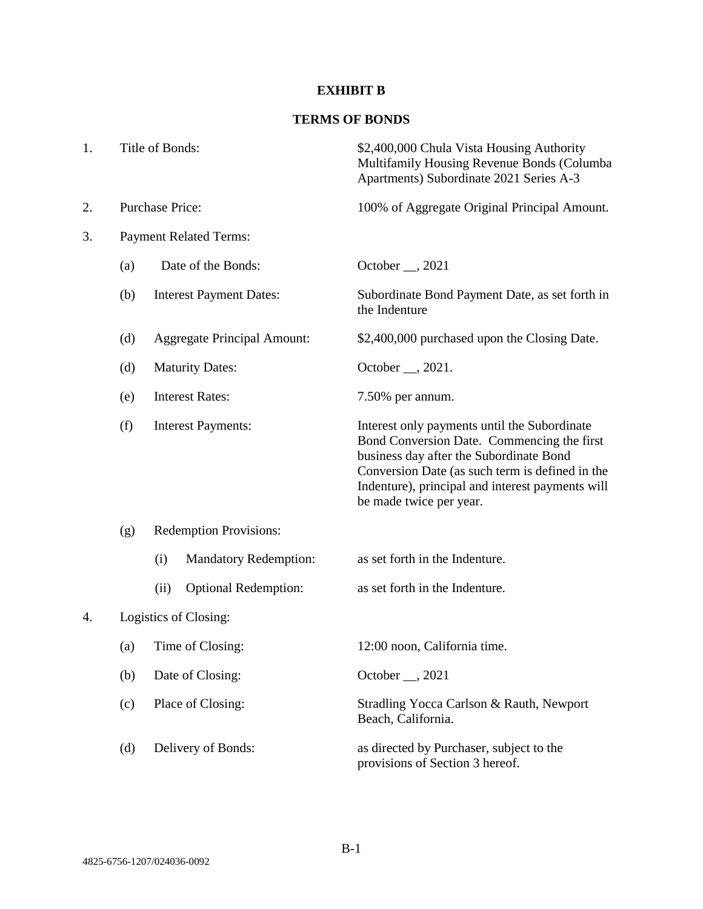# **EXHIBIT B**

# **TERMS OF BONDS**

| 1. |     | Title of Bonds:                     | \$2,400,000 Chula Vista Housing Authority<br>Multifamily Housing Revenue Bonds (Columba<br>Apartments) Subordinate 2021 Series A-3                                                                                                                                      |
|----|-----|-------------------------------------|-------------------------------------------------------------------------------------------------------------------------------------------------------------------------------------------------------------------------------------------------------------------------|
| 2. |     | <b>Purchase Price:</b>              | 100% of Aggregate Original Principal Amount.                                                                                                                                                                                                                            |
| 3. |     | <b>Payment Related Terms:</b>       |                                                                                                                                                                                                                                                                         |
|    | (a) | Date of the Bonds:                  | October $\_\_$ , 2021                                                                                                                                                                                                                                                   |
|    | (b) | <b>Interest Payment Dates:</b>      | Subordinate Bond Payment Date, as set forth in<br>the Indenture                                                                                                                                                                                                         |
|    | (d) | <b>Aggregate Principal Amount:</b>  | \$2,400,000 purchased upon the Closing Date.                                                                                                                                                                                                                            |
|    | (d) | <b>Maturity Dates:</b>              | October __, 2021.                                                                                                                                                                                                                                                       |
|    | (e) | <b>Interest Rates:</b>              | 7.50% per annum.                                                                                                                                                                                                                                                        |
|    | (f) | <b>Interest Payments:</b>           | Interest only payments until the Subordinate<br>Bond Conversion Date. Commencing the first<br>business day after the Subordinate Bond<br>Conversion Date (as such term is defined in the<br>Indenture), principal and interest payments will<br>be made twice per year. |
|    | (g) | <b>Redemption Provisions:</b>       |                                                                                                                                                                                                                                                                         |
|    |     | (i)<br><b>Mandatory Redemption:</b> | as set forth in the Indenture.                                                                                                                                                                                                                                          |
|    |     | <b>Optional Redemption:</b><br>(ii) | as set forth in the Indenture.                                                                                                                                                                                                                                          |
| 4. |     | Logistics of Closing:               |                                                                                                                                                                                                                                                                         |
|    | (a) | Time of Closing:                    | 12:00 noon, California time.                                                                                                                                                                                                                                            |
|    | (b) | Date of Closing:                    | October __, 2021                                                                                                                                                                                                                                                        |
|    | (c) | Place of Closing:                   | Stradling Yocca Carlson & Rauth, Newport<br>Beach, California.                                                                                                                                                                                                          |
|    | (d) | Delivery of Bonds:                  | as directed by Purchaser, subject to the<br>provisions of Section 3 hereof.                                                                                                                                                                                             |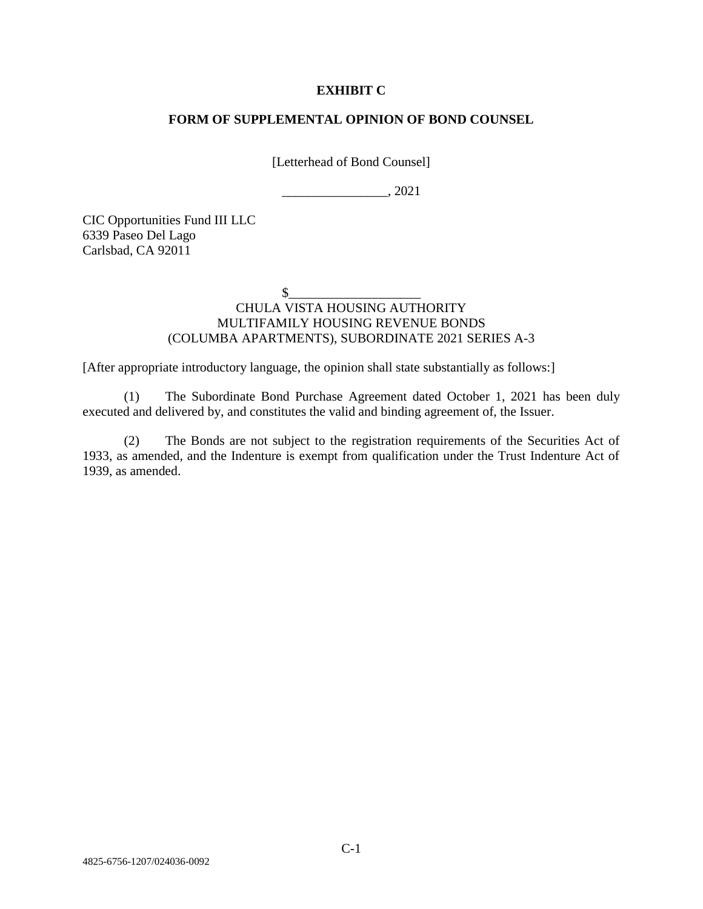### **EXHIBIT C**

#### **FORM OF SUPPLEMENTAL OPINION OF BOND COUNSEL**

[Letterhead of Bond Counsel]

\_\_\_\_\_\_\_\_\_\_\_\_\_\_\_\_, 2021

CIC Opportunities Fund III LLC 6339 Paseo Del Lago Carlsbad, CA 92011

 $\frac{1}{2}$ 

## CHULA VISTA HOUSING AUTHORITY MULTIFAMILY HOUSING REVENUE BONDS (COLUMBA APARTMENTS), SUBORDINATE 2021 SERIES A-3

[After appropriate introductory language, the opinion shall state substantially as follows:]

(1) The Subordinate Bond Purchase Agreement dated October 1, 2021 has been duly executed and delivered by, and constitutes the valid and binding agreement of, the Issuer.

(2) The Bonds are not subject to the registration requirements of the Securities Act of 1933, as amended, and the Indenture is exempt from qualification under the Trust Indenture Act of 1939, as amended.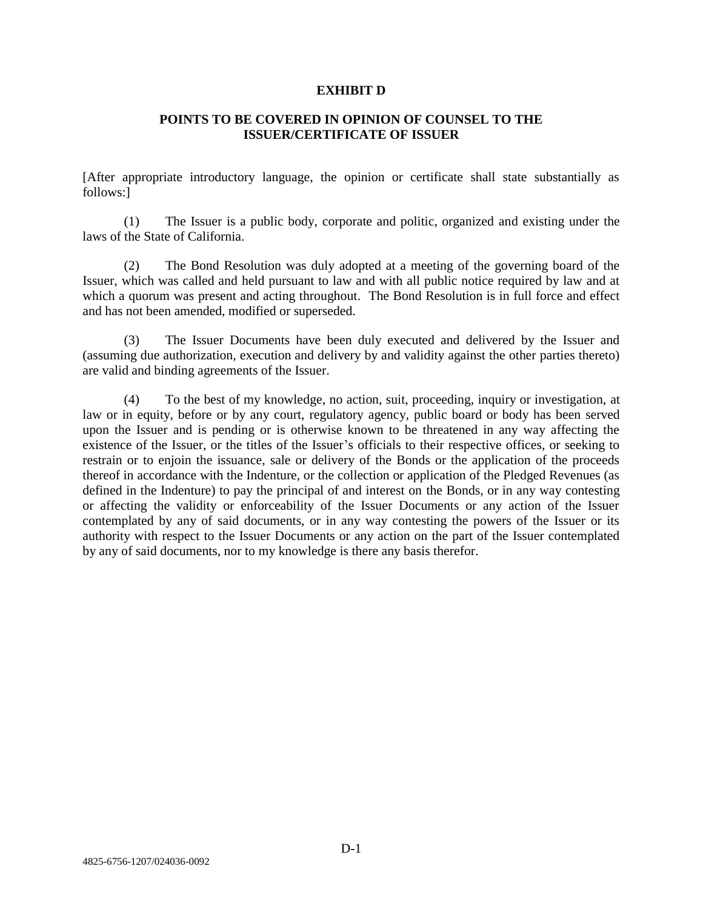#### **EXHIBIT D**

### **POINTS TO BE COVERED IN OPINION OF COUNSEL TO THE ISSUER/CERTIFICATE OF ISSUER**

[After appropriate introductory language, the opinion or certificate shall state substantially as follows:]

(1) The Issuer is a public body, corporate and politic, organized and existing under the laws of the State of California.

(2) The Bond Resolution was duly adopted at a meeting of the governing board of the Issuer, which was called and held pursuant to law and with all public notice required by law and at which a quorum was present and acting throughout. The Bond Resolution is in full force and effect and has not been amended, modified or superseded.

(3) The Issuer Documents have been duly executed and delivered by the Issuer and (assuming due authorization, execution and delivery by and validity against the other parties thereto) are valid and binding agreements of the Issuer.

(4) To the best of my knowledge, no action, suit, proceeding, inquiry or investigation, at law or in equity, before or by any court, regulatory agency, public board or body has been served upon the Issuer and is pending or is otherwise known to be threatened in any way affecting the existence of the Issuer, or the titles of the Issuer's officials to their respective offices, or seeking to restrain or to enjoin the issuance, sale or delivery of the Bonds or the application of the proceeds thereof in accordance with the Indenture, or the collection or application of the Pledged Revenues (as defined in the Indenture) to pay the principal of and interest on the Bonds, or in any way contesting or affecting the validity or enforceability of the Issuer Documents or any action of the Issuer contemplated by any of said documents, or in any way contesting the powers of the Issuer or its authority with respect to the Issuer Documents or any action on the part of the Issuer contemplated by any of said documents, nor to my knowledge is there any basis therefor.